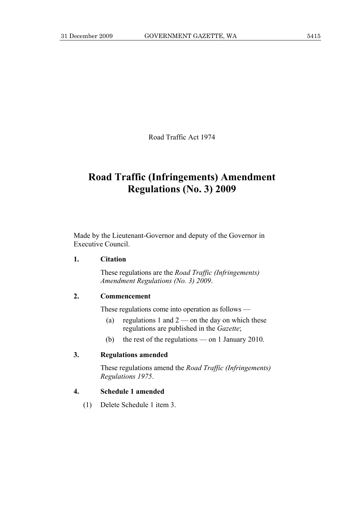Road Traffic Act 1974

# **Road Traffic (Infringements) Amendment Regulations (No. 3) 2009**

Made by the Lieutenant-Governor and deputy of the Governor in Executive Council.

#### **1. Citation**

 These regulations are the *Road Traffic (Infringements) Amendment Regulations (No. 3) 2009*.

### **2. Commencement**

These regulations come into operation as follows —

- (a) regulations 1 and  $2$  on the day on which these regulations are published in the *Gazette*;
- (b) the rest of the regulations on 1 January 2010.

#### **3. Regulations amended**

 These regulations amend the *Road Traffic (Infringements) Regulations 1975*.

## **4. Schedule 1 amended**

(1) Delete Schedule 1 item 3.